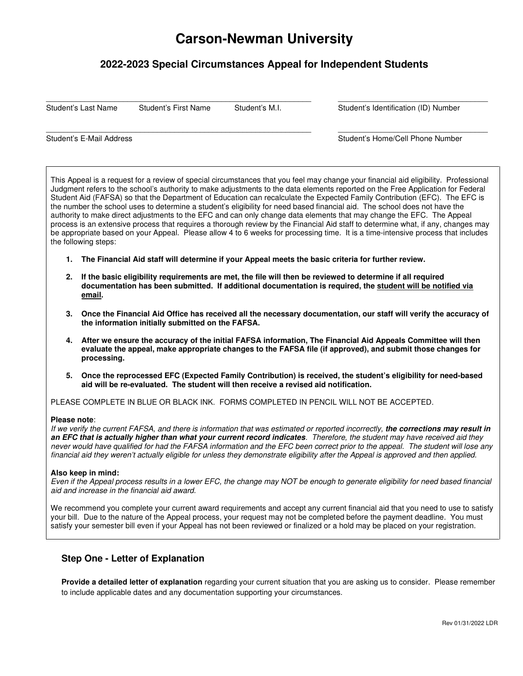# **Carson-Newman University**

# **2022-2023 Special Circumstances Appeal for Independent Students**

 $\_$  ,  $\_$  ,  $\_$  ,  $\_$  ,  $\_$  ,  $\_$  ,  $\_$  ,  $\_$  ,  $\_$  ,  $\_$  ,  $\_$  ,  $\_$  ,  $\_$  ,  $\_$  ,  $\_$  ,  $\_$  ,  $\_$  ,  $\_$  ,  $\_$  ,  $\_$  ,  $\_$  ,  $\_$  ,  $\_$  ,  $\_$  ,  $\_$  ,  $\_$  ,  $\_$  ,  $\_$  ,  $\_$  ,  $\_$  ,  $\_$  ,  $\_$  ,  $\_$  ,  $\_$  ,  $\_$  ,  $\_$  ,  $\_$  ,

 $\_$  ,  $\_$  ,  $\_$  ,  $\_$  ,  $\_$  ,  $\_$  ,  $\_$  ,  $\_$  ,  $\_$  ,  $\_$  ,  $\_$  ,  $\_$  ,  $\_$  ,  $\_$  ,  $\_$  ,  $\_$  ,  $\_$  ,  $\_$  ,  $\_$  ,  $\_$  ,  $\_$  ,  $\_$  ,  $\_$  ,  $\_$  ,  $\_$  ,  $\_$  ,  $\_$  ,  $\_$  ,  $\_$  ,  $\_$  ,  $\_$  ,  $\_$  ,  $\_$  ,  $\_$  ,  $\_$  ,  $\_$  ,  $\_$  ,

Student's Last Name Student's First Name Student's M.I. Student's Identification (ID) Number

Student's E-Mail Address **Student's E-Mail Address** Student's Home/Cell Phone Number

This Appeal is a request for a review of special circumstances that you feel may change your financial aid eligibility. Professional Judgment refers to the school's authority to make adjustments to the data elements reported on the Free Application for Federal Student Aid (FAFSA) so that the Department of Education can recalculate the Expected Family Contribution (EFC). The EFC is the number the school uses to determine a student's eligibility for need based financial aid. The school does not have the authority to make direct adjustments to the EFC and can only change data elements that may change the EFC. The Appeal process is an extensive process that requires a thorough review by the Financial Aid staff to determine what, if any, changes may be appropriate based on your Appeal. Please allow 4 to 6 weeks for processing time. It is a time-intensive process that includes the following steps:

- **1. The Financial Aid staff will determine if your Appeal meets the basic criteria for further review.**
- **2. If the basic eligibility requirements are met, the file will then be reviewed to determine if all required documentation has been submitted. If additional documentation is required, the student will be notified via email.**
- **3. Once the Financial Aid Office has received all the necessary documentation, our staff will verify the accuracy of the information initially submitted on the FAFSA.**
- **4. After we ensure the accuracy of the initial FAFSA information, The Financial Aid Appeals Committee will then evaluate the appeal, make appropriate changes to the FAFSA file (if approved), and submit those changes for processing.**
- **5. Once the reprocessed EFC (Expected Family Contribution) is received, the student's eligibility for need-based aid will be re-evaluated. The student will then receive a revised aid notification.**

PLEASE COMPLETE IN BLUE OR BLACK INK. FORMS COMPLETED IN PENCIL WILL NOT BE ACCEPTED.

#### **Please note**:

If we verify the current FAFSA, and there is information that was estimated or reported incorrectly, **the corrections may result in an EFC that is actually higher than what your current record indicates**. Therefore, the student may have received aid they never would have qualified for had the FAFSA information and the EFC been correct prior to the appeal. The student will lose any financial aid they weren't actually eligible for unless they demonstrate eligibility after the Appeal is approved and then applied.

#### **Also keep in mind:**

Even if the Appeal process results in a lower EFC, the change may NOT be enough to generate eligibility for need based financial aid and increase in the financial aid award.

We recommend you complete your current award requirements and accept any current financial aid that you need to use to satisfy your bill. Due to the nature of the Appeal process, your request may not be completed before the payment deadline. You must satisfy your semester bill even if your Appeal has not been reviewed or finalized or a hold may be placed on your registration.

## **Step One - Letter of Explanation**

**Provide a detailed letter of explanation** regarding your current situation that you are asking us to consider. Please remember to include applicable dates and any documentation supporting your circumstances.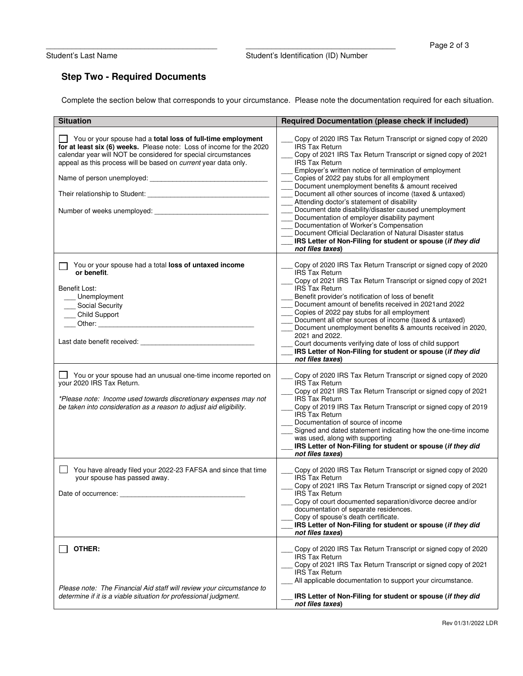Student's Last Name Student's Identification (ID) Number

# **Step Two - Required Documents**

Complete the section below that corresponds to your circumstance. Please note the documentation required for each situation.

| <b>Situation</b>                                                                                                                                                                                                                                                                | <b>Required Documentation (please check if included)</b>                                                                                                                                                                                                                                                                                                                                                                                                                                                                                                                                                                                                                                                                                                |
|---------------------------------------------------------------------------------------------------------------------------------------------------------------------------------------------------------------------------------------------------------------------------------|---------------------------------------------------------------------------------------------------------------------------------------------------------------------------------------------------------------------------------------------------------------------------------------------------------------------------------------------------------------------------------------------------------------------------------------------------------------------------------------------------------------------------------------------------------------------------------------------------------------------------------------------------------------------------------------------------------------------------------------------------------|
| You or your spouse had a <b>total loss of full-time employment</b><br>for at least six (6) weeks. Please note: Loss of income for the 2020<br>calendar year will NOT be considered for special circumstances<br>appeal as this process will be based on current year data only. | Copy of 2020 IRS Tax Return Transcript or signed copy of 2020<br><b>IRS Tax Return</b><br>Copy of 2021 IRS Tax Return Transcript or signed copy of 2021<br><b>IRS Tax Return</b><br>Employer's written notice of termination of employment<br>Copies of 2022 pay stubs for all employment<br>Document unemployment benefits & amount received<br>Document all other sources of income (taxed & untaxed)<br>Attending doctor's statement of disability<br>Document date disability/disaster caused unemployment<br>Documentation of employer disability payment<br>Documentation of Worker's Compensation<br>Document Official Declaration of Natural Disaster status<br>IRS Letter of Non-Filing for student or spouse (if they did<br>not files taxes) |
| You or your spouse had a total loss of untaxed income<br>or benefit.<br>Benefit Lost:<br>Unemployment<br>___ Social Security<br>___ Child Support                                                                                                                               | Copy of 2020 IRS Tax Return Transcript or signed copy of 2020<br><b>IRS Tax Return</b><br>Copy of 2021 IRS Tax Return Transcript or signed copy of 2021<br><b>IRS Tax Return</b><br>Benefit provider's notification of loss of benefit<br>Document amount of benefits received in 2021and 2022<br>Copies of 2022 pay stubs for all employment<br>Document all other sources of income (taxed & untaxed)<br>Document unemployment benefits & amounts received in 2020,<br>2021 and 2022.<br>Court documents verifying date of loss of child support<br>IRS Letter of Non-Filing for student or spouse (if they did<br>not files taxes)                                                                                                                   |
| You or your spouse had an unusual one-time income reported on<br>your 2020 IRS Tax Return.<br>*Please note: Income used towards discretionary expenses may not<br>be taken into consideration as a reason to adjust aid eligibility.                                            | Copy of 2020 IRS Tax Return Transcript or signed copy of 2020<br><b>IRS Tax Return</b><br>Copy of 2021 IRS Tax Return Transcript or signed copy of 2021<br><b>IRS Tax Return</b><br>Copy of 2019 IRS Tax Return Transcript or signed copy of 2019<br><b>IRS</b> Tax Return<br>Documentation of source of income<br>Signed and dated statement indicating how the one-time income<br>was used, along with supporting<br>IRS Letter of Non-Filing for student or spouse (if they did<br>not files taxes)                                                                                                                                                                                                                                                  |
| You have already filed your 2022-23 FAFSA and since that time<br>your spouse has passed away.<br>Date of occurrence:                                                                                                                                                            | Copy of 2020 IRS Tax Return Transcript or signed copy of 2020<br>IRS Tax Return<br>Copy of 2021 IRS Tax Return Transcript or signed copy of 2021<br><b>IRS Tax Return</b><br>Copy of court documented separation/divorce decree and/or<br>documentation of separate residences.<br>Copy of spouse's death certificate.<br>IRS Letter of Non-Filing for student or spouse (if they did<br>not files taxes)                                                                                                                                                                                                                                                                                                                                               |
| OTHER:<br>Please note: The Financial Aid staff will review your circumstance to<br>determine if it is a viable situation for professional judgment.                                                                                                                             | Copy of 2020 IRS Tax Return Transcript or signed copy of 2020<br><b>IRS Tax Return</b><br>Copy of 2021 IRS Tax Return Transcript or signed copy of 2021<br><b>IRS Tax Return</b><br>All applicable documentation to support your circumstance.<br>IRS Letter of Non-Filing for student or spouse (if they did<br>not files taxes)                                                                                                                                                                                                                                                                                                                                                                                                                       |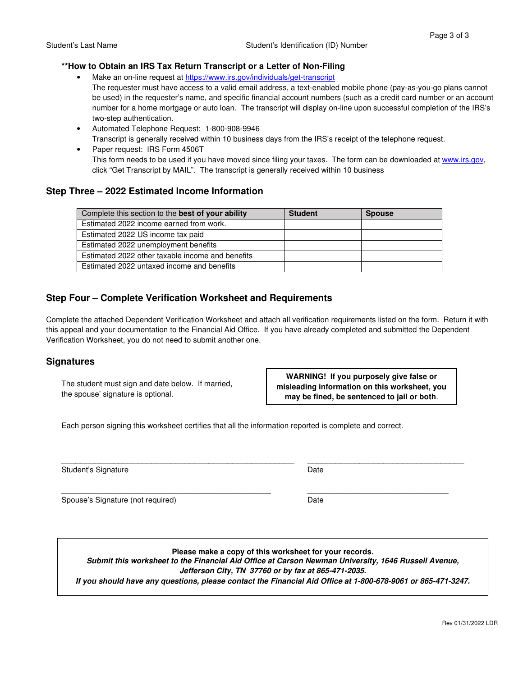### **\*\*How to Obtain an IRS Tax Return Transcript or a Letter of Non-Filing**

- Make an on-line request at https://www.irs.gov/individuals/get-transcript The requester must have access to a valid email address, a text-enabled mobile phone (pay-as-you-go plans cannot be used) in the requester's name, and specific financial account numbers (such as a credit card number or an account number for a home mortgage or auto loan. The transcript will display on-line upon successful completion of the IRS's two-step authentication.
- Automated Telephone Request: 1-800-908-9946 Transcript is generally received within 10 business days from the IRS's receipt of the telephone request.
- Paper request: IRS Form 4506T This form needs to be used if you have moved since filing your taxes. The form can be downloaded at www.irs.gov, click "Get Transcript by MAIL". The transcript is generally received within 10 business

## **Step Three – 2022 Estimated Income Information**

| Complete this section to the best of your ability | <b>Student</b> | <b>Spouse</b> |
|---------------------------------------------------|----------------|---------------|
| Estimated 2022 income earned from work.           |                |               |
| Estimated 2022 US income tax paid                 |                |               |
| Estimated 2022 unemployment benefits              |                |               |
| Estimated 2022 other taxable income and benefits  |                |               |
| Estimated 2022 untaxed income and benefits        |                |               |

# **Step Four – Complete Verification Worksheet and Requirements**

Complete the attached Dependent Verification Worksheet and attach all verification requirements listed on the form. Return it with this appeal and your documentation to the Financial Aid Office. If you have already completed and submitted the Dependent Verification Worksheet, you do not need to submit another one.

### **Signatures**

The student must sign and date below. If married, the spouse' signature is optional.

**WARNING! If you purposely give false or misleading information on this worksheet, you may be fined, be sentenced to jail or both**.

Each person signing this worksheet certifies that all the information reported is complete and correct.

Student's Signature Date Date Controller and Date Date Date

Spouse's Signature (not required) Date

**Please make a copy of this worksheet for your records.** 

\_\_\_\_\_\_\_\_\_\_\_\_\_\_\_\_\_\_\_\_\_\_\_\_\_\_\_\_\_\_\_\_\_\_\_\_\_\_\_\_\_\_\_\_\_\_\_\_\_ \_\_\_\_\_\_\_\_\_\_\_\_\_\_\_\_\_\_\_\_\_\_\_\_\_\_\_\_\_\_\_\_\_

**Submit this worksheet to the Financial Aid Office at Carson Newman University, 1646 Russell Avenue,** 

**Jefferson City, TN 37760 or by fax at 865-471-2035.** 

**If you should have any questions, please contact the Financial Aid Office at 1-800-678-9061 or 865-471-3247.** 

 $\_$  , and the state of the state of the state of the state of the state of the state of the state of the state of the state of the state of the state of the state of the state of the state of the state of the state of the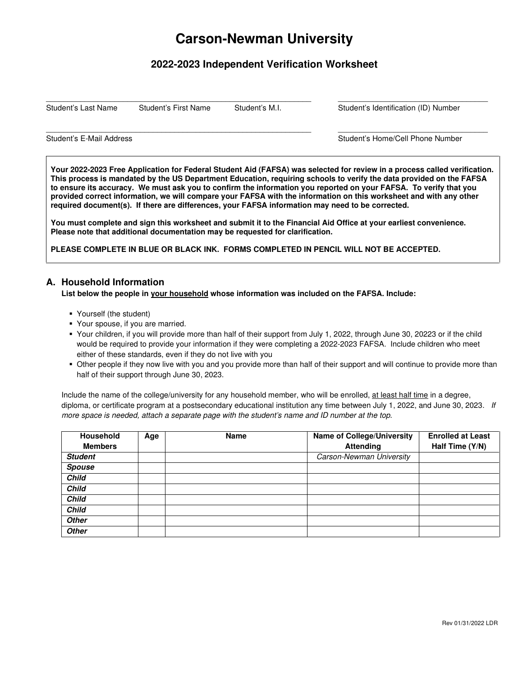# **Carson-Newman University**

# **2022-2023 Independent Verification Worksheet**

 $\_$  ,  $\_$  ,  $\_$  ,  $\_$  ,  $\_$  ,  $\_$  ,  $\_$  ,  $\_$  ,  $\_$  ,  $\_$  ,  $\_$  ,  $\_$  ,  $\_$  ,  $\_$  ,  $\_$  ,  $\_$  ,  $\_$  ,  $\_$  ,  $\_$  ,  $\_$  ,  $\_$  ,  $\_$  ,  $\_$  ,  $\_$  ,  $\_$  ,  $\_$  ,  $\_$  ,  $\_$  ,  $\_$  ,  $\_$  ,  $\_$  ,  $\_$  ,  $\_$  ,  $\_$  ,  $\_$  ,  $\_$  ,  $\_$  ,

 $\_$  ,  $\_$  ,  $\_$  ,  $\_$  ,  $\_$  ,  $\_$  ,  $\_$  ,  $\_$  ,  $\_$  ,  $\_$  ,  $\_$  ,  $\_$  ,  $\_$  ,  $\_$  ,  $\_$  ,  $\_$  ,  $\_$  ,  $\_$  ,  $\_$  ,  $\_$  ,  $\_$  ,  $\_$  ,  $\_$  ,  $\_$  ,  $\_$  ,  $\_$  ,  $\_$  ,  $\_$  ,  $\_$  ,  $\_$  ,  $\_$  ,  $\_$  ,  $\_$  ,  $\_$  ,  $\_$  ,  $\_$  ,  $\_$  ,

Student's Last Name Student's First Name Student's M.I. Student's Identification (ID) Number

Student's E-Mail Address **Student's E-Mail Address** Student's Home/Cell Phone Number

**Your 2022-2023 Free Application for Federal Student Aid (FAFSA) was selected for review in a process called verification. This process is mandated by the US Department Education, requiring schools to verify the data provided on the FAFSA to ensure its accuracy. We must ask you to confirm the information you reported on your FAFSA. To verify that you provided correct information, we will compare your FAFSA with the information on this worksheet and with any other required document(s). If there are differences, your FAFSA information may need to be corrected.** 

**You must complete and sign this worksheet and submit it to the Financial Aid Office at your earliest convenience. Please note that additional documentation may be requested for clarification.** 

**PLEASE COMPLETE IN BLUE OR BLACK INK. FORMS COMPLETED IN PENCIL WILL NOT BE ACCEPTED.** 

## **A. Household Information**

### **List below the people in your household whose information was included on the FAFSA. Include:**

- Yourself (the student)
- Your spouse, if you are married.
- Your children, if you will provide more than half of their support from July 1, 2022, through June 30, 20223 or if the child would be required to provide your information if they were completing a 2022-2023 FAFSA. Include children who meet either of these standards, even if they do not live with you
- Other people if they now live with you and you provide more than half of their support and will continue to provide more than half of their support through June 30, 2023.

Include the name of the college/university for any household member, who will be enrolled, at least half time in a degree, diploma, or certificate program at a postsecondary educational institution any time between July 1, 2022, and June 30, 2023. If more space is needed, attach a separate page with the student's name and ID number at the top.

| <b>Household</b> | Age | <b>Name</b> | <b>Name of College/University</b> | <b>Enrolled at Least</b> |
|------------------|-----|-------------|-----------------------------------|--------------------------|
| <b>Members</b>   |     |             | <b>Attending</b>                  | Half Time (Y/N)          |
| <b>Student</b>   |     |             | Carson-Newman University          |                          |
| <b>Spouse</b>    |     |             |                                   |                          |
| <b>Child</b>     |     |             |                                   |                          |
| <b>Child</b>     |     |             |                                   |                          |
| <b>Child</b>     |     |             |                                   |                          |
| <b>Child</b>     |     |             |                                   |                          |
| <b>Other</b>     |     |             |                                   |                          |
| <b>Other</b>     |     |             |                                   |                          |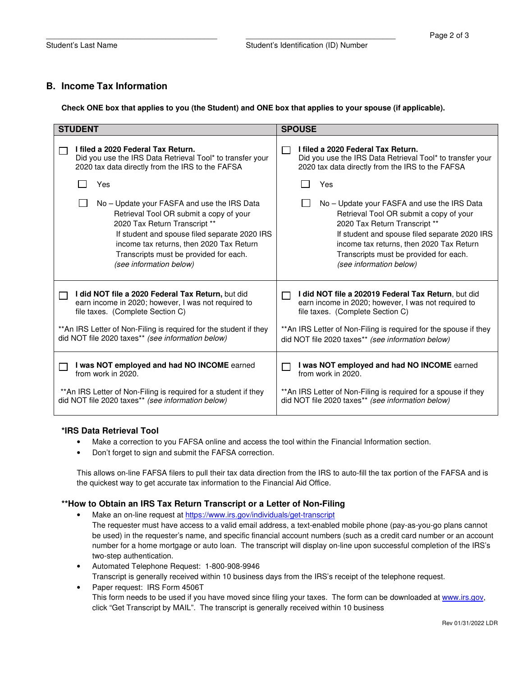## **B. Income Tax Information**

**Check ONE box that applies to you (the Student) and ONE box that applies to your spouse (if applicable).** 

| <b>STUDENT</b>                                                                                                                                                                                                                                                                          | <b>SPOUSE</b>                                                                                                                                                                                                                                                            |  |  |
|-----------------------------------------------------------------------------------------------------------------------------------------------------------------------------------------------------------------------------------------------------------------------------------------|--------------------------------------------------------------------------------------------------------------------------------------------------------------------------------------------------------------------------------------------------------------------------|--|--|
| I filed a 2020 Federal Tax Return.                                                                                                                                                                                                                                                      | I filed a 2020 Federal Tax Return.                                                                                                                                                                                                                                       |  |  |
| Did you use the IRS Data Retrieval Tool* to transfer your                                                                                                                                                                                                                               | Did you use the IRS Data Retrieval Tool* to transfer your                                                                                                                                                                                                                |  |  |
| 2020 tax data directly from the IRS to the FAFSA                                                                                                                                                                                                                                        | 2020 tax data directly from the IRS to the FAFSA                                                                                                                                                                                                                         |  |  |
| Yes                                                                                                                                                                                                                                                                                     | Yes                                                                                                                                                                                                                                                                      |  |  |
| No – Update your FASFA and use the IRS Data                                                                                                                                                                                                                                             | No – Update your FASFA and use the IRS Data                                                                                                                                                                                                                              |  |  |
| Retrieval Tool OR submit a copy of your                                                                                                                                                                                                                                                 | Retrieval Tool OR submit a copy of your                                                                                                                                                                                                                                  |  |  |
| 2020 Tax Return Transcript **                                                                                                                                                                                                                                                           | 2020 Tax Return Transcript **                                                                                                                                                                                                                                            |  |  |
| If student and spouse filed separate 2020 IRS                                                                                                                                                                                                                                           | If student and spouse filed separate 2020 IRS                                                                                                                                                                                                                            |  |  |
| income tax returns, then 2020 Tax Return                                                                                                                                                                                                                                                | income tax returns, then 2020 Tax Return                                                                                                                                                                                                                                 |  |  |
| Transcripts must be provided for each.                                                                                                                                                                                                                                                  | Transcripts must be provided for each.                                                                                                                                                                                                                                   |  |  |
| (see information below)                                                                                                                                                                                                                                                                 | (see information below)                                                                                                                                                                                                                                                  |  |  |
| I did NOT file a 2020 Federal Tax Return, but did<br>$\mathbf{I}$<br>earn income in 2020; however, I was not required to<br>file taxes. (Complete Section C)<br>** An IRS Letter of Non-Filing is required for the student if they<br>did NOT file 2020 taxes** (see information below) | I did NOT file a 202019 Federal Tax Return, but did<br>earn income in 2020; however, I was not required to<br>file taxes. (Complete Section C)<br>** An IRS Letter of Non-Filing is required for the spouse if they<br>did NOT file 2020 taxes** (see information below) |  |  |
| I was NOT employed and had NO INCOME earned                                                                                                                                                                                                                                             | I was NOT employed and had NO INCOME earned                                                                                                                                                                                                                              |  |  |
| from work in 2020.                                                                                                                                                                                                                                                                      | from work in 2020.                                                                                                                                                                                                                                                       |  |  |
| ** An IRS Letter of Non-Filing is required for a student if they                                                                                                                                                                                                                        | ** An IRS Letter of Non-Filing is required for a spouse if they                                                                                                                                                                                                          |  |  |
| did NOT file 2020 taxes** (see information below)                                                                                                                                                                                                                                       | did NOT file 2020 taxes** (see information below)                                                                                                                                                                                                                        |  |  |

### **\*IRS Data Retrieval Tool**

- Make a correction to you FAFSA online and access the tool within the Financial Information section.
- Don't forget to sign and submit the FAFSA correction.

This allows on-line FAFSA filers to pull their tax data direction from the IRS to auto-fill the tax portion of the FAFSA and is the quickest way to get accurate tax information to the Financial Aid Office.

### **\*\*How to Obtain an IRS Tax Return Transcript or a Letter of Non-Filing**

- Make an on-line request at https://www.irs.gov/individuals/get-transcript
	- The requester must have access to a valid email address, a text-enabled mobile phone (pay-as-you-go plans cannot be used) in the requester's name, and specific financial account numbers (such as a credit card number or an account number for a home mortgage or auto loan. The transcript will display on-line upon successful completion of the IRS's two-step authentication.
- Automated Telephone Request: 1-800-908-9946 Transcript is generally received within 10 business days from the IRS's receipt of the telephone request.
- Paper request: IRS Form 4506T This form needs to be used if you have moved since filing your taxes. The form can be downloaded at www.irs.gov, click "Get Transcript by MAIL". The transcript is generally received within 10 business